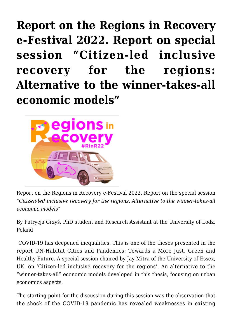**[Report on the Regions in Recovery](https://regions.regionalstudies.org/ezine/article/issue-12-patrycja-grzys/) [e-Festival 2022. Report on special](https://regions.regionalstudies.org/ezine/article/issue-12-patrycja-grzys/) [session "Citizen-led inclusive](https://regions.regionalstudies.org/ezine/article/issue-12-patrycja-grzys/) [recovery for the regions:](https://regions.regionalstudies.org/ezine/article/issue-12-patrycja-grzys/) [Alternative to the winner-takes-all](https://regions.regionalstudies.org/ezine/article/issue-12-patrycja-grzys/) [economic models"](https://regions.regionalstudies.org/ezine/article/issue-12-patrycja-grzys/)**



Report on the Regions in Recovery e-Festival 2022. Report on the special session "*Citizen-led inclusive recovery for the regions. Alternative to the winner-takes-all economic models"*

[By Patrycja Grzyś,](https://www.linkedin.com/in/patrycjagrzys/) PhD student and Research Assistant at the University of Lodz, Poland

COVID-19 has deepened inequalities. This is one of the theses presented in the report [UN-Habitat Cities and Pandemics: Towards a More Just, Green and](https://unhabitat.org/cities-and-pandemics-towards-a-more-just-green-and-healthy-future-0#:~:text=The%20UN%2DHabitat) [Healthy Future](https://unhabitat.org/cities-and-pandemics-towards-a-more-just-green-and-healthy-future-0#:~:text=The%20UN%2DHabitat). A special session chaired by Jay Mitra of the University of Essex, UK, on 'Citizen-led inclusive recovery for the regions'. An alternative to the "winner-takes-all" economic models developed in this thesis, focusing on urban economics aspects.

The starting point for the discussion during this session was the observation that the shock of the COVID-19 pandemic has revealed weaknesses in existing